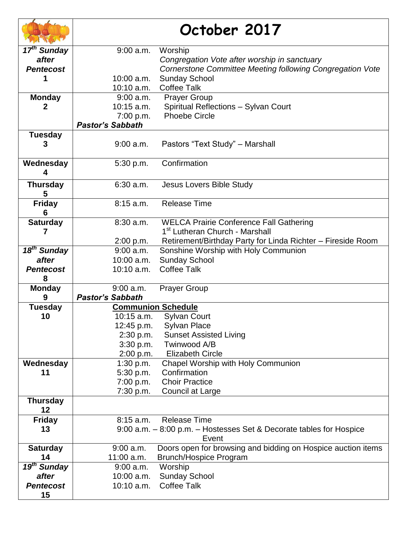|                         | October 2017            |                                                                                              |
|-------------------------|-------------------------|----------------------------------------------------------------------------------------------|
| 17 <sup>th</sup> Sunday | $9:00$ a.m.             | Worship                                                                                      |
| after                   |                         | Congregation Vote after worship in sanctuary                                                 |
| <b>Pentecost</b>        |                         | Cornerstone Committee Meeting following Congregation Vote                                    |
| 1                       | 10:00 a.m.              | <b>Sunday School</b>                                                                         |
|                         | 10:10 a.m.              | <b>Coffee Talk</b>                                                                           |
| <b>Monday</b>           | $9:00$ a.m.             | <b>Prayer Group</b>                                                                          |
| $\mathbf{2}$            | $10:15$ a.m.            | Spiritual Reflections - Sylvan Court                                                         |
|                         | 7:00 p.m.               | <b>Phoebe Circle</b>                                                                         |
|                         | <b>Pastor's Sabbath</b> |                                                                                              |
| <b>Tuesday</b>          | 9:00 a.m.               | Pastors "Text Study" - Marshall                                                              |
| Wednesday<br>4          | 5:30 p.m.               | Confirmation                                                                                 |
| <b>Thursday</b><br>5    | 6:30 a.m.               | Jesus Lovers Bible Study                                                                     |
| <b>Friday</b><br>6      | 8:15 a.m.               | <b>Release Time</b>                                                                          |
| <b>Saturday</b><br>7    | $8:30$ a.m.             | <b>WELCA Prairie Conference Fall Gathering</b><br>1 <sup>st</sup> Lutheran Church - Marshall |
|                         | 2:00 p.m.               | Retirement/Birthday Party for Linda Richter - Fireside Room                                  |
| 18 <sup>th</sup> Sunday | $9:00$ a.m.             | Sonshine Worship with Holy Communion                                                         |
| after                   | 10:00 a.m.              | <b>Sunday School</b>                                                                         |
| <b>Pentecost</b><br>8   | $10:10$ a.m.            | <b>Coffee Talk</b>                                                                           |
| <b>Monday</b>           | $9:00$ a.m.             | <b>Prayer Group</b>                                                                          |
| 9                       | <b>Pastor's Sabbath</b> |                                                                                              |
| <b>Tuesday</b>          |                         | <b>Communion Schedule</b>                                                                    |
| 10                      | $10:15$ a.m.            | <b>Sylvan Court</b>                                                                          |
|                         | 12:45 p.m.              | <b>Sylvan Place</b>                                                                          |
|                         | 2:30 p.m.               | <b>Sunset Assisted Living</b>                                                                |
|                         | 3:30 p.m.               | Twinwood A/B                                                                                 |
|                         | 2:00 p.m.               | <b>Elizabeth Circle</b>                                                                      |
| Wednesday               | 1:30 p.m.               | Chapel Worship with Holy Communion                                                           |
| 11                      | 5:30 p.m.               | Confirmation<br><b>Choir Practice</b>                                                        |
|                         | 7:00 p.m.<br>7:30 p.m.  | Council at Large                                                                             |
| <b>Thursday</b>         |                         |                                                                                              |
| 12                      |                         |                                                                                              |
| <b>Friday</b>           | $8:15$ a.m.             | <b>Release Time</b>                                                                          |
| 13                      |                         | 9:00 a.m. - 8:00 p.m. - Hostesses Set & Decorate tables for Hospice<br>Event                 |
| <b>Saturday</b>         | $9:00$ a.m.             | Doors open for browsing and bidding on Hospice auction items                                 |
| 14                      | 11:00 a.m.              | <b>Brunch/Hospice Program</b>                                                                |
| 19 <sup>th</sup> Sunday | $9:00$ a.m.             | Worship                                                                                      |
| after                   | $10:00$ a.m.            | <b>Sunday School</b>                                                                         |
| <b>Pentecost</b><br>15  | 10:10 a.m.              | <b>Coffee Talk</b>                                                                           |